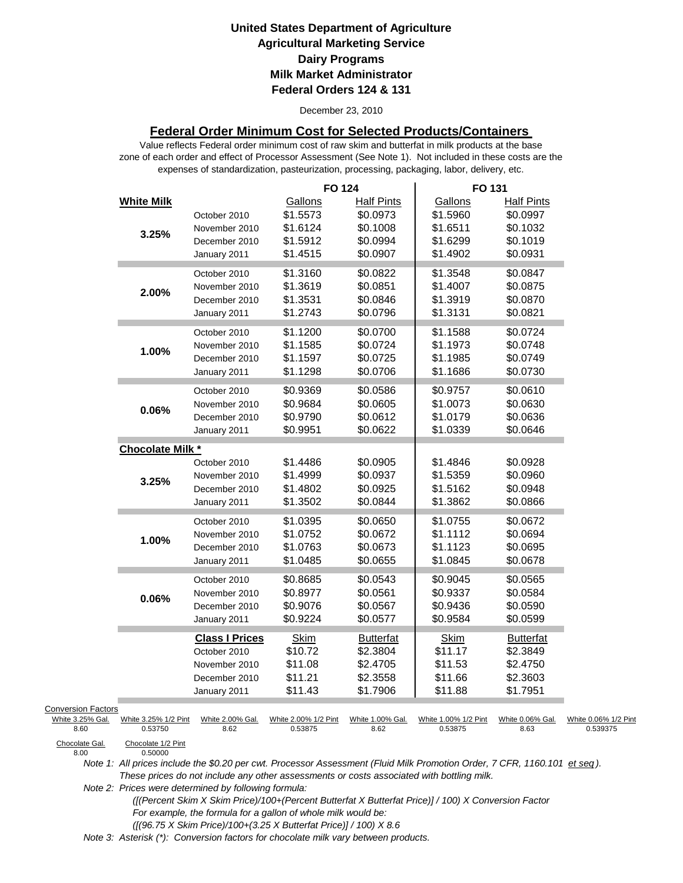December 23, 2010

### **Federal Order Minimum Cost for Selected Products/Containers**

zone of each order and effect of Processor Assessment (See Note 1). Not included in these costs are the expenses of standardization, pasteurization, processing, packaging, labor, delivery, etc. Value reflects Federal order minimum cost of raw skim and butterfat in milk products at the base

|                                                       |                                 |                                                                                         | <b>FO 124</b>                                           |                                                                   | FO 131                                                  |                                                                  |                                  |
|-------------------------------------------------------|---------------------------------|-----------------------------------------------------------------------------------------|---------------------------------------------------------|-------------------------------------------------------------------|---------------------------------------------------------|------------------------------------------------------------------|----------------------------------|
|                                                       | <b>White Milk</b><br>3.25%      | October 2010<br>November 2010<br>December 2010<br>January 2011                          | Gallons<br>\$1.5573<br>\$1.6124<br>\$1.5912<br>\$1.4515 | <b>Half Pints</b><br>\$0.0973<br>\$0.1008<br>\$0.0994<br>\$0.0907 | Gallons<br>\$1.5960<br>\$1.6511<br>\$1.6299<br>\$1.4902 | Half Pints<br>\$0.0997<br>\$0.1032<br>\$0.1019<br>\$0.0931       |                                  |
|                                                       | 2.00%                           | October 2010<br>November 2010<br>December 2010<br>January 2011                          | \$1.3160<br>\$1.3619<br>\$1.3531<br>\$1.2743            | \$0.0822<br>\$0.0851<br>\$0.0846<br>\$0.0796                      | \$1.3548<br>\$1.4007<br>\$1.3919<br>\$1.3131            | \$0.0847<br>\$0.0875<br>\$0.0870<br>\$0.0821                     |                                  |
|                                                       | 1.00%                           | October 2010<br>November 2010<br>December 2010<br>January 2011                          | \$1.1200<br>\$1.1585<br>\$1.1597<br>\$1.1298            | \$0.0700<br>\$0.0724<br>\$0.0725<br>\$0.0706                      | \$1.1588<br>\$1.1973<br>\$1.1985<br>\$1.1686            | \$0.0724<br>\$0.0748<br>\$0.0749<br>\$0.0730                     |                                  |
|                                                       | 0.06%                           | October 2010<br>November 2010<br>December 2010<br>January 2011                          | \$0.9369<br>\$0.9684<br>\$0.9790<br>\$0.9951            | \$0.0586<br>\$0.0605<br>\$0.0612<br>\$0.0622                      | \$0.9757<br>\$1.0073<br>\$1.0179<br>\$1.0339            | \$0.0610<br>\$0.0630<br>\$0.0636<br>\$0.0646                     |                                  |
|                                                       | Chocolate Milk *                |                                                                                         |                                                         |                                                                   |                                                         |                                                                  |                                  |
|                                                       | 3.25%                           | October 2010<br>November 2010<br>December 2010<br>January 2011                          | \$1.4486<br>\$1.4999<br>\$1.4802<br>\$1.3502            | \$0.0905<br>\$0.0937<br>\$0.0925<br>\$0.0844                      | \$1.4846<br>\$1.5359<br>\$1.5162<br>\$1.3862            | \$0.0928<br>\$0.0960<br>\$0.0948<br>\$0.0866                     |                                  |
|                                                       | 1.00%                           | October 2010<br>November 2010<br>December 2010<br>January 2011                          | \$1.0395<br>\$1.0752<br>\$1.0763<br>\$1.0485            | \$0.0650<br>\$0.0672<br>\$0.0673<br>\$0.0655                      | \$1.0755<br>\$1.1112<br>\$1.1123<br>\$1.0845            | \$0.0672<br>\$0.0694<br>\$0.0695<br>\$0.0678                     |                                  |
|                                                       | 0.06%                           | October 2010<br>November 2010<br>December 2010<br>January 2011                          | \$0.8685<br>\$0.8977<br>\$0.9076<br>\$0.9224            | \$0.0543<br>\$0.0561<br>\$0.0567<br>\$0.0577                      | \$0.9045<br>\$0.9337<br>\$0.9436<br>\$0.9584            | \$0.0565<br>\$0.0584<br>\$0.0590<br>\$0.0599                     |                                  |
|                                                       |                                 | <b>Class I Prices</b><br>October 2010<br>November 2010<br>December 2010<br>January 2011 | <b>Skim</b><br>\$10.72<br>\$11.08<br>\$11.21<br>\$11.43 | <b>Butterfat</b><br>\$2.3804<br>\$2.4705<br>\$2.3558<br>\$1.7906  | <b>Skim</b><br>\$11.17<br>\$11.53<br>\$11.66<br>\$11.88 | <b>Butterfat</b><br>\$2.3849<br>\$2.4750<br>\$2.3603<br>\$1.7951 |                                  |
| <b>Conversion Factors</b><br>White 3.25% Gal.<br>8.60 | White 3.25% 1/2 Pint<br>0.53750 | White 2.00% Gal.<br>8.62                                                                | White 2.00% 1/2 Pint<br>0.53875                         | White 1.00% Gal.<br>8.62                                          | White 1.00% 1/2 Pint<br>0.53875                         | White 0.06% Gal.<br>8.63                                         | White 0.06% 1/2 Pint<br>0.539375 |
| Chocolate Gal.<br>8.00                                | Chocolate 1/2 Pint<br>0.50000   |                                                                                         |                                                         |                                                                   |                                                         |                                                                  |                                  |

*Note 1: All prices include the \$0.20 per cwt. Processor Assessment (Fluid Milk Promotion Order, 7 CFR, 1160.101 et seq ). These prices do not include any other assessments or costs associated with bottling milk.*

*Note 2: Prices were determined by following formula:* 

 *([(Percent Skim X Skim Price)/100+(Percent Butterfat X Butterfat Price)] / 100) X Conversion Factor For example, the formula for a gallon of whole milk would be: ([(96.75 X Skim Price)/100+(3.25 X Butterfat Price)] / 100) X 8.6*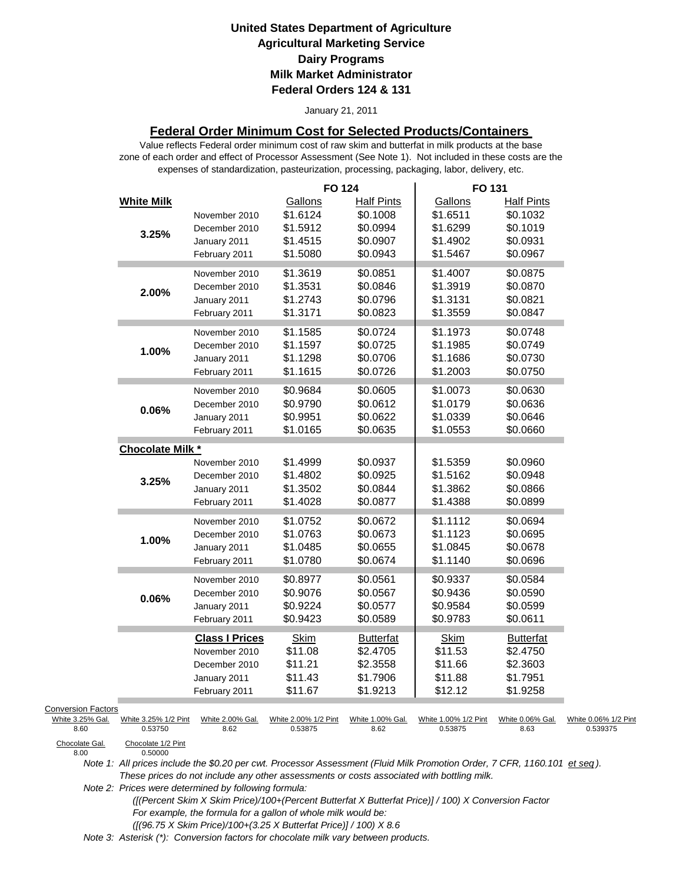#### January 21, 2011

### **Federal Order Minimum Cost for Selected Products/Containers**

zone of each order and effect of Processor Assessment (See Note 1). Not included in these costs are the expenses of standardization, pasteurization, processing, packaging, labor, delivery, etc. Value reflects Federal order minimum cost of raw skim and butterfat in milk products at the base

|                                                                         |                                                       |                                                                                          | <b>FO 124</b>                                           |                                                                   | FO 131                                                  |                                                                   |                                  |
|-------------------------------------------------------------------------|-------------------------------------------------------|------------------------------------------------------------------------------------------|---------------------------------------------------------|-------------------------------------------------------------------|---------------------------------------------------------|-------------------------------------------------------------------|----------------------------------|
|                                                                         | <b>White Milk</b><br>3.25%                            | November 2010<br>December 2010<br>January 2011<br>February 2011                          | Gallons<br>\$1.6124<br>\$1.5912<br>\$1.4515<br>\$1.5080 | <b>Half Pints</b><br>\$0.1008<br>\$0.0994<br>\$0.0907<br>\$0.0943 | Gallons<br>\$1.6511<br>\$1.6299<br>\$1.4902<br>\$1.5467 | <b>Half Pints</b><br>\$0.1032<br>\$0.1019<br>\$0.0931<br>\$0.0967 |                                  |
|                                                                         | 2.00%                                                 | November 2010<br>December 2010<br>January 2011<br>February 2011                          | \$1.3619<br>\$1.3531<br>\$1.2743<br>\$1.3171            | \$0.0851<br>\$0.0846<br>\$0.0796<br>\$0.0823                      | \$1.4007<br>\$1.3919<br>\$1.3131<br>\$1.3559            | \$0.0875<br>\$0.0870<br>\$0.0821<br>\$0.0847                      |                                  |
|                                                                         | 1.00%                                                 | November 2010<br>December 2010<br>January 2011<br>February 2011                          | \$1.1585<br>\$1.1597<br>\$1.1298<br>\$1.1615            | \$0.0724<br>\$0.0725<br>\$0.0706<br>\$0.0726                      | \$1.1973<br>\$1.1985<br>\$1.1686<br>\$1.2003            | \$0.0748<br>\$0.0749<br>\$0.0730<br>\$0.0750                      |                                  |
|                                                                         | $0.06\%$                                              | November 2010<br>December 2010<br>January 2011<br>February 2011                          | \$0.9684<br>\$0.9790<br>\$0.9951<br>\$1.0165            | \$0.0605<br>\$0.0612<br>\$0.0622<br>\$0.0635                      | \$1.0073<br>\$1.0179<br>\$1.0339<br>\$1.0553            | \$0.0630<br>\$0.0636<br>\$0.0646<br>\$0.0660                      |                                  |
|                                                                         | <b>Chocolate Milk *</b>                               |                                                                                          |                                                         |                                                                   |                                                         |                                                                   |                                  |
|                                                                         | 3.25%                                                 | November 2010<br>December 2010<br>January 2011<br>February 2011                          | \$1.4999<br>\$1.4802<br>\$1.3502<br>\$1.4028            | \$0.0937<br>\$0.0925<br>\$0.0844<br>\$0.0877                      | \$1.5359<br>\$1.5162<br>\$1.3862<br>\$1.4388            | \$0.0960<br>\$0.0948<br>\$0.0866<br>\$0.0899                      |                                  |
|                                                                         | 1.00%                                                 | November 2010<br>December 2010<br>January 2011<br>February 2011                          | \$1.0752<br>\$1.0763<br>\$1.0485<br>\$1.0780            | \$0.0672<br>\$0.0673<br>\$0.0655<br>\$0.0674                      | \$1.1112<br>\$1.1123<br>\$1.0845<br>\$1.1140            | \$0.0694<br>\$0.0695<br>\$0.0678<br>\$0.0696                      |                                  |
|                                                                         | 0.06%                                                 | November 2010<br>December 2010<br>January 2011<br>February 2011                          | \$0.8977<br>\$0.9076<br>\$0.9224<br>\$0.9423            | \$0.0561<br>\$0.0567<br>\$0.0577<br>\$0.0589                      | \$0.9337<br>\$0.9436<br>\$0.9584<br>\$0.9783            | \$0.0584<br>\$0.0590<br>\$0.0599<br>\$0.0611                      |                                  |
|                                                                         |                                                       | <b>Class I Prices</b><br>November 2010<br>December 2010<br>January 2011<br>February 2011 | <b>Skim</b><br>\$11.08<br>\$11.21<br>\$11.43<br>\$11.67 | <b>Butterfat</b><br>\$2.4705<br>\$2.3558<br>\$1.7906<br>\$1.9213  | Skim<br>\$11.53<br>\$11.66<br>\$11.88<br>\$12.12        | <b>Butterfat</b><br>\$2.4750<br>\$2.3603<br>\$1.7951<br>\$1.9258  |                                  |
| <b>Conversion Factors</b><br>White 3.25% Gal.<br>8.60<br>Chocolate Gal. | White 3.25% 1/2 Pint<br>0.53750<br>Chocolate 1/2 Pint | White 2.00% Gal.<br>8.62                                                                 | White 2.00% 1/2 Pint<br>0.53875                         | White 1.00% Gal.<br>8.62                                          | White 1.00% 1/2 Pint<br>0.53875                         | White 0.06% Gal.<br>8.63                                          | White 0.06% 1/2 Pint<br>0.539375 |
| 8.00                                                                    | 0.50000                                               |                                                                                          |                                                         |                                                                   |                                                         |                                                                   |                                  |

Chocolate Gal.<br>8.00

*Note 1: All prices include the \$0.20 per cwt. Processor Assessment (Fluid Milk Promotion Order, 7 CFR, 1160.101 et seq ). These prices do not include any other assessments or costs associated with bottling milk.*

*Note 2: Prices were determined by following formula:* 

 *([(Percent Skim X Skim Price)/100+(Percent Butterfat X Butterfat Price)] / 100) X Conversion Factor For example, the formula for a gallon of whole milk would be: ([(96.75 X Skim Price)/100+(3.25 X Butterfat Price)] / 100) X 8.6*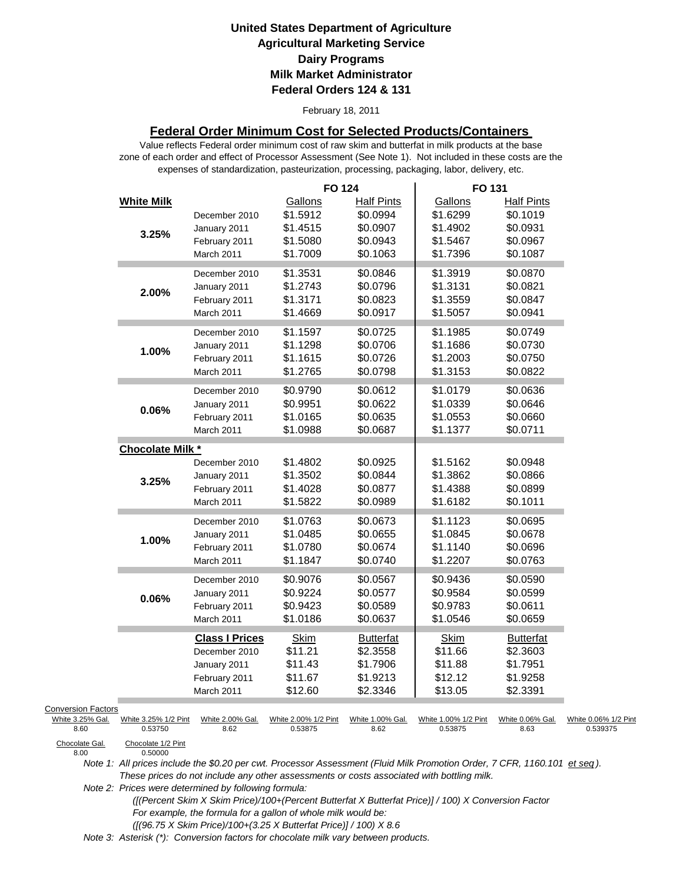February 18, 2011

### **Federal Order Minimum Cost for Selected Products/Containers**

zone of each order and effect of Processor Assessment (See Note 1). Not included in these costs are the expenses of standardization, pasteurization, processing, packaging, labor, delivery, etc. Value reflects Federal order minimum cost of raw skim and butterfat in milk products at the base

|                                                                         |                                                       |                                                                                       | <b>FO 124</b>                                           |                                                                   | FO 131                                                  |                                                                   |                                  |
|-------------------------------------------------------------------------|-------------------------------------------------------|---------------------------------------------------------------------------------------|---------------------------------------------------------|-------------------------------------------------------------------|---------------------------------------------------------|-------------------------------------------------------------------|----------------------------------|
|                                                                         | <b>White Milk</b><br>3.25%                            | December 2010<br>January 2011<br>February 2011<br>March 2011                          | Gallons<br>\$1.5912<br>\$1.4515<br>\$1.5080<br>\$1.7009 | <b>Half Pints</b><br>\$0.0994<br>\$0.0907<br>\$0.0943<br>\$0.1063 | Gallons<br>\$1.6299<br>\$1.4902<br>\$1.5467<br>\$1.7396 | <b>Half Pints</b><br>\$0.1019<br>\$0.0931<br>\$0.0967<br>\$0.1087 |                                  |
|                                                                         | 2.00%                                                 | December 2010<br>January 2011<br>February 2011<br>March 2011                          | \$1.3531<br>\$1.2743<br>\$1.3171<br>\$1.4669            | \$0.0846<br>\$0.0796<br>\$0.0823<br>\$0.0917                      | \$1.3919<br>\$1.3131<br>\$1.3559<br>\$1.5057            | \$0.0870<br>\$0.0821<br>\$0.0847<br>\$0.0941                      |                                  |
|                                                                         | 1.00%                                                 | December 2010<br>January 2011<br>February 2011<br>March 2011                          | \$1.1597<br>\$1.1298<br>\$1.1615<br>\$1.2765            | \$0.0725<br>\$0.0706<br>\$0.0726<br>\$0.0798                      | \$1.1985<br>\$1.1686<br>\$1.2003<br>\$1.3153            | \$0.0749<br>\$0.0730<br>\$0.0750<br>\$0.0822                      |                                  |
|                                                                         | $0.06\%$                                              | December 2010<br>January 2011<br>February 2011<br>March 2011                          | \$0.9790<br>\$0.9951<br>\$1.0165<br>\$1.0988            | \$0.0612<br>\$0.0622<br>\$0.0635<br>\$0.0687                      | \$1.0179<br>\$1.0339<br>\$1.0553<br>\$1.1377            | \$0.0636<br>\$0.0646<br>\$0.0660<br>\$0.0711                      |                                  |
|                                                                         | Chocolate Milk *                                      |                                                                                       |                                                         |                                                                   |                                                         |                                                                   |                                  |
|                                                                         | 3.25%                                                 | December 2010<br>January 2011<br>February 2011<br>March 2011                          | \$1.4802<br>\$1.3502<br>\$1.4028<br>\$1.5822            | \$0.0925<br>\$0.0844<br>\$0.0877<br>\$0.0989                      | \$1.5162<br>\$1.3862<br>\$1.4388<br>\$1.6182            | \$0.0948<br>\$0.0866<br>\$0.0899<br>\$0.1011                      |                                  |
|                                                                         | 1.00%                                                 | December 2010<br>January 2011<br>February 2011<br>March 2011                          | \$1.0763<br>\$1.0485<br>\$1.0780<br>\$1.1847            | \$0.0673<br>\$0.0655<br>\$0.0674<br>\$0.0740                      | \$1.1123<br>\$1.0845<br>\$1.1140<br>\$1.2207            | \$0.0695<br>\$0.0678<br>\$0.0696<br>\$0.0763                      |                                  |
|                                                                         | 0.06%                                                 | December 2010<br>January 2011<br>February 2011<br>March 2011                          | \$0.9076<br>\$0.9224<br>\$0.9423<br>\$1.0186            | \$0.0567<br>\$0.0577<br>\$0.0589<br>\$0.0637                      | \$0.9436<br>\$0.9584<br>\$0.9783<br>\$1.0546            | \$0.0590<br>\$0.0599<br>\$0.0611<br>\$0.0659                      |                                  |
|                                                                         |                                                       | <b>Class I Prices</b><br>December 2010<br>January 2011<br>February 2011<br>March 2011 | <b>Skim</b><br>\$11.21<br>\$11.43<br>\$11.67<br>\$12.60 | <b>Butterfat</b><br>\$2.3558<br>\$1.7906<br>\$1.9213<br>\$2.3346  | Skim<br>\$11.66<br>\$11.88<br>\$12.12<br>\$13.05        | <b>Butterfat</b><br>\$2.3603<br>\$1.7951<br>\$1.9258<br>\$2.3391  |                                  |
| <b>Conversion Factors</b><br>White 3.25% Gal.<br>8.60<br>Chocolate Gal. | White 3.25% 1/2 Pint<br>0.53750<br>Chocolate 1/2 Pint | White 2.00% Gal.<br>8.62                                                              | White 2.00% 1/2 Pint<br>0.53875                         | White 1.00% Gal.<br>8.62                                          | White 1.00% 1/2 Pint<br>0.53875                         | White 0.06% Gal.<br>8.63                                          | White 0.06% 1/2 Pint<br>0.539375 |
| 8.00                                                                    | 0.50000                                               |                                                                                       |                                                         |                                                                   |                                                         |                                                                   |                                  |

Chocolate Gal.<br>8.00

*Note 1: All prices include the \$0.20 per cwt. Processor Assessment (Fluid Milk Promotion Order, 7 CFR, 1160.101 et seq ). These prices do not include any other assessments or costs associated with bottling milk.*

*Note 2: Prices were determined by following formula:* 

 *([(Percent Skim X Skim Price)/100+(Percent Butterfat X Butterfat Price)] / 100) X Conversion Factor For example, the formula for a gallon of whole milk would be: ([(96.75 X Skim Price)/100+(3.25 X Butterfat Price)] / 100) X 8.6*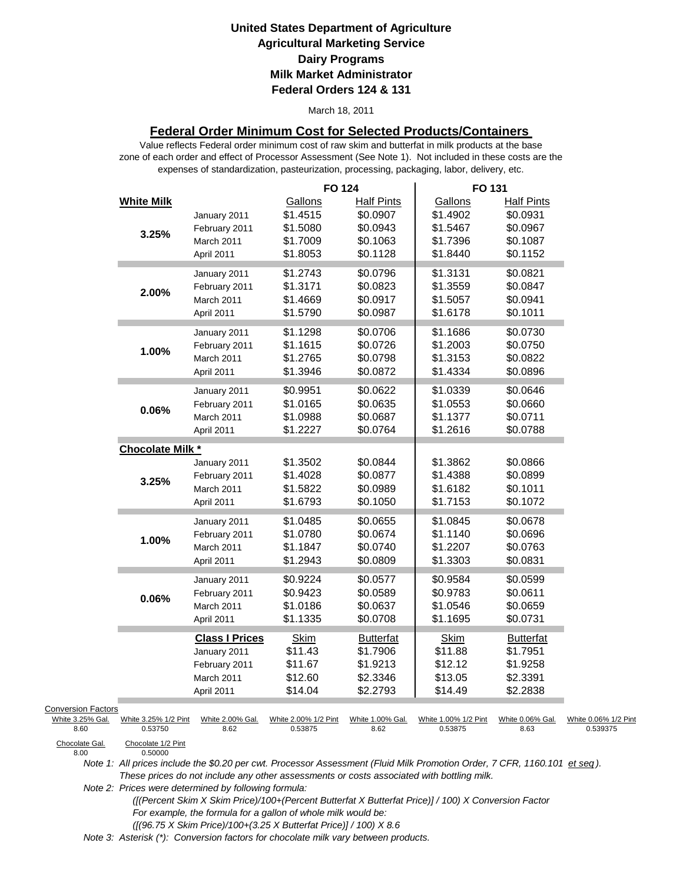#### March 18, 2011

### **Federal Order Minimum Cost for Selected Products/Containers**

zone of each order and effect of Processor Assessment (See Note 1). Not included in these costs are the expenses of standardization, pasteurization, processing, packaging, labor, delivery, etc. Value reflects Federal order minimum cost of raw skim and butterfat in milk products at the base

|                           |                                 |                          | <b>FO 124</b>                   |                          | FO 131                          |                          |                                  |
|---------------------------|---------------------------------|--------------------------|---------------------------------|--------------------------|---------------------------------|--------------------------|----------------------------------|
|                           | <b>White Milk</b>               |                          | Gallons                         | <b>Half Pints</b>        | Gallons                         | <b>Half Pints</b>        |                                  |
|                           |                                 | January 2011             | \$1.4515                        | \$0.0907                 | \$1.4902                        | \$0.0931                 |                                  |
|                           |                                 | February 2011            | \$1.5080                        | \$0.0943                 | \$1.5467                        | \$0.0967                 |                                  |
|                           | 3.25%                           | March 2011               | \$1.7009                        | \$0.1063                 | \$1.7396                        | \$0.1087                 |                                  |
|                           |                                 | April 2011               | \$1.8053                        | \$0.1128                 | \$1.8440                        | \$0.1152                 |                                  |
|                           |                                 | January 2011             | \$1.2743                        | \$0.0796                 | \$1.3131                        | \$0.0821                 |                                  |
|                           |                                 | February 2011            | \$1.3171                        | \$0.0823                 | \$1.3559                        | \$0.0847                 |                                  |
|                           | 2.00%                           | March 2011               | \$1.4669                        | \$0.0917                 | \$1.5057                        | \$0.0941                 |                                  |
|                           |                                 | April 2011               | \$1.5790                        | \$0.0987                 | \$1.6178                        | \$0.1011                 |                                  |
|                           |                                 | January 2011             | \$1.1298                        | \$0.0706                 | \$1.1686                        | \$0.0730                 |                                  |
|                           |                                 | February 2011            | \$1.1615                        | \$0.0726                 | \$1.2003                        | \$0.0750                 |                                  |
|                           | 1.00%                           | March 2011               | \$1.2765                        | \$0.0798                 | \$1.3153                        | \$0.0822                 |                                  |
|                           |                                 | April 2011               | \$1.3946                        | \$0.0872                 | \$1.4334                        | \$0.0896                 |                                  |
|                           |                                 | January 2011             | \$0.9951                        | \$0.0622                 | \$1.0339                        | \$0.0646                 |                                  |
|                           |                                 | February 2011            | \$1.0165                        | \$0.0635                 | \$1.0553                        | \$0.0660                 |                                  |
|                           | $0.06\%$                        | March 2011               | \$1.0988                        | \$0.0687                 | \$1.1377                        | \$0.0711                 |                                  |
|                           |                                 | April 2011               | \$1.2227                        | \$0.0764                 | \$1.2616                        | \$0.0788                 |                                  |
|                           |                                 |                          |                                 |                          |                                 |                          |                                  |
|                           | <b>Chocolate Milk *</b>         |                          |                                 |                          |                                 |                          |                                  |
|                           |                                 | January 2011             | \$1.3502                        | \$0.0844                 | \$1.3862                        | \$0.0866                 |                                  |
|                           | 3.25%                           | February 2011            | \$1.4028                        | \$0.0877                 | \$1.4388                        | \$0.0899                 |                                  |
|                           |                                 | March 2011               | \$1.5822                        | \$0.0989                 | \$1.6182                        | \$0.1011                 |                                  |
|                           |                                 | April 2011               | \$1.6793                        | \$0.1050                 | \$1.7153                        | \$0.1072                 |                                  |
|                           |                                 | January 2011             | \$1.0485                        | \$0.0655                 | \$1.0845                        | \$0.0678                 |                                  |
|                           | 1.00%                           | February 2011            | \$1.0780                        | \$0.0674                 | \$1.1140                        | \$0.0696                 |                                  |
|                           |                                 | March 2011               | \$1.1847                        | \$0.0740                 | \$1.2207                        | \$0.0763                 |                                  |
|                           |                                 | April 2011               | \$1.2943                        | \$0.0809                 | \$1.3303                        | \$0.0831                 |                                  |
|                           |                                 | January 2011             | \$0.9224                        | \$0.0577                 | \$0.9584                        | \$0.0599                 |                                  |
|                           | 0.06%                           | February 2011            | \$0.9423                        | \$0.0589                 | \$0.9783                        | \$0.0611                 |                                  |
|                           |                                 | March 2011               | \$1.0186                        | \$0.0637                 | \$1.0546                        | \$0.0659                 |                                  |
|                           |                                 | April 2011               | \$1.1335                        | \$0.0708                 | \$1.1695                        | \$0.0731                 |                                  |
|                           |                                 | <b>Class I Prices</b>    | <b>Skim</b>                     | <b>Butterfat</b>         | <b>Skim</b>                     | <b>Butterfat</b>         |                                  |
|                           |                                 | January 2011             | \$11.43                         | \$1.7906                 | \$11.88                         | \$1.7951                 |                                  |
|                           |                                 | February 2011            | \$11.67                         | \$1.9213                 | \$12.12                         | \$1.9258                 |                                  |
|                           |                                 | March 2011               | \$12.60                         | \$2.3346                 | \$13.05                         | \$2.3391                 |                                  |
|                           |                                 | April 2011               | \$14.04                         | \$2.2793                 | \$14.49                         | \$2.2838                 |                                  |
| <b>Conversion Factors</b> |                                 |                          |                                 |                          |                                 |                          |                                  |
| White 3.25% Gal.<br>8.60  | White 3.25% 1/2 Pint<br>0.53750 | White 2.00% Gal.<br>8.62 | White 2.00% 1/2 Pint<br>0.53875 | White 1.00% Gal.<br>8.62 | White 1.00% 1/2 Pint<br>0.53875 | White 0.06% Gal.<br>8.63 | White 0.06% 1/2 Pint<br>0.539375 |
| Chocolate Gal             | Chocolate 1/2 Pint              |                          |                                 |                          |                                 |                          |                                  |

Chocolate Gal.<br>8.00

0.50000

*Note 1: All prices include the \$0.20 per cwt. Processor Assessment (Fluid Milk Promotion Order, 7 CFR, 1160.101 et seq ). These prices do not include any other assessments or costs associated with bottling milk.*

*Note 2: Prices were determined by following formula:* 

 *([(Percent Skim X Skim Price)/100+(Percent Butterfat X Butterfat Price)] / 100) X Conversion Factor For example, the formula for a gallon of whole milk would be: ([(96.75 X Skim Price)/100+(3.25 X Butterfat Price)] / 100) X 8.6*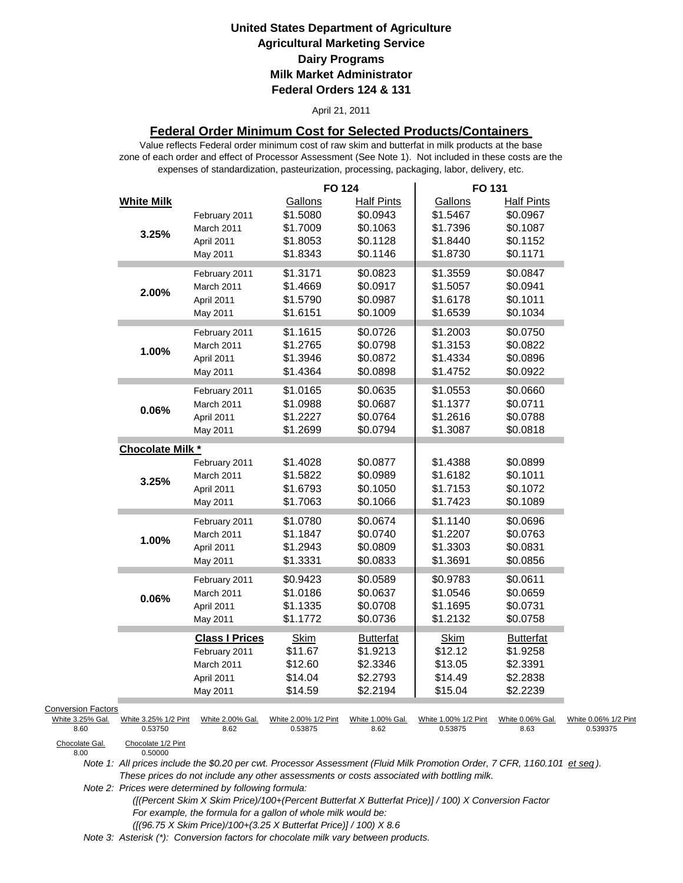#### April 21, 2011

### **Federal Order Minimum Cost for Selected Products/Containers**

zone of each order and effect of Processor Assessment (See Note 1). Not included in these costs are the expenses of standardization, pasteurization, processing, packaging, labor, delivery, etc. Value reflects Federal order minimum cost of raw skim and butterfat in milk products at the base

|                                                             |                          | <b>FO 124</b>                   |                               | FO 131                          |                               |                                  |
|-------------------------------------------------------------|--------------------------|---------------------------------|-------------------------------|---------------------------------|-------------------------------|----------------------------------|
| <b>White Milk</b>                                           | February 2011            | Gallons<br>\$1.5080             | <b>Half Pints</b><br>\$0.0943 | Gallons<br>\$1.5467             | <b>Half Pints</b><br>\$0.0967 |                                  |
|                                                             | March 2011               | \$1.7009                        | \$0.1063                      | \$1.7396                        | \$0.1087                      |                                  |
| 3.25%                                                       | April 2011               | \$1.8053                        | \$0.1128                      | \$1.8440                        | \$0.1152                      |                                  |
|                                                             | May 2011                 | \$1.8343                        | \$0.1146                      | \$1.8730                        | \$0.1171                      |                                  |
|                                                             | February 2011            | \$1.3171                        | \$0.0823                      | \$1.3559                        | \$0.0847                      |                                  |
| 2.00%                                                       | March 2011               | \$1.4669                        | \$0.0917                      | \$1.5057                        | \$0.0941                      |                                  |
|                                                             | April 2011               | \$1.5790                        | \$0.0987                      | \$1.6178                        | \$0.1011                      |                                  |
|                                                             | May 2011                 | \$1.6151                        | \$0.1009                      | \$1.6539                        | \$0.1034                      |                                  |
|                                                             | February 2011            | \$1.1615                        | \$0.0726                      | \$1.2003                        | \$0.0750                      |                                  |
| 1.00%                                                       | March 2011               | \$1.2765                        | \$0.0798                      | \$1.3153                        | \$0.0822                      |                                  |
|                                                             | April 2011               | \$1.3946                        | \$0.0872                      | \$1.4334                        | \$0.0896                      |                                  |
|                                                             | May 2011                 | \$1.4364                        | \$0.0898                      | \$1.4752                        | \$0.0922                      |                                  |
|                                                             | February 2011            | \$1.0165                        | \$0.0635                      | \$1.0553                        | \$0.0660                      |                                  |
| 0.06%                                                       | March 2011               | \$1.0988                        | \$0.0687                      | \$1.1377                        | \$0.0711                      |                                  |
|                                                             | April 2011               | \$1.2227                        | \$0.0764                      | \$1.2616                        | \$0.0788                      |                                  |
|                                                             | May 2011                 | \$1.2699                        | \$0.0794                      | \$1.3087                        | \$0.0818                      |                                  |
| <b>Chocolate Milk *</b>                                     |                          |                                 |                               |                                 |                               |                                  |
|                                                             | February 2011            | \$1.4028                        | \$0.0877                      | \$1.4388                        | \$0.0899                      |                                  |
| 3.25%                                                       | March 2011               | \$1.5822                        | \$0.0989                      | \$1.6182                        | \$0.1011                      |                                  |
|                                                             | April 2011               | \$1.6793                        | \$0.1050                      | \$1.7153                        | \$0.1072                      |                                  |
|                                                             | May 2011                 | \$1.7063                        | \$0.1066                      | \$1.7423                        | \$0.1089                      |                                  |
|                                                             | February 2011            | \$1.0780                        | \$0.0674                      | \$1.1140                        | \$0.0696                      |                                  |
| 1.00%                                                       | March 2011               | \$1.1847                        | \$0.0740                      | \$1.2207                        | \$0.0763                      |                                  |
|                                                             | April 2011               | \$1.2943                        | \$0.0809                      | \$1.3303                        | \$0.0831                      |                                  |
|                                                             | May 2011                 | \$1.3331                        | \$0.0833                      | \$1.3691                        | \$0.0856                      |                                  |
|                                                             | February 2011            | \$0.9423                        | \$0.0589                      | \$0.9783                        | \$0.0611                      |                                  |
| 0.06%                                                       | March 2011               | \$1.0186                        | \$0.0637                      | \$1.0546                        | \$0.0659                      |                                  |
|                                                             | April 2011               | \$1.1335                        | \$0.0708                      | \$1.1695                        | \$0.0731                      |                                  |
|                                                             | May 2011                 | \$1.1772                        | \$0.0736                      | \$1.2132                        | \$0.0758                      |                                  |
|                                                             | <b>Class I Prices</b>    | <b>Skim</b>                     | <b>Butterfat</b>              | <b>Skim</b>                     | <b>Butterfat</b>              |                                  |
|                                                             | February 2011            | \$11.67                         | \$1.9213                      | \$12.12                         | \$1.9258                      |                                  |
|                                                             | March 2011               | \$12.60                         | \$2.3346                      | \$13.05                         | \$2.3391                      |                                  |
|                                                             | April 2011               | \$14.04                         | \$2.2793                      | \$14.49                         | \$2.2838                      |                                  |
|                                                             | May 2011                 | \$14.59                         | \$2.2194                      | \$15.04                         | \$2.2239                      |                                  |
| <b>Conversion Factors</b>                                   |                          |                                 |                               |                                 |                               |                                  |
| White 3.25% Gal.<br>White 3.25% 1/2 Pint<br>0.53750<br>8.60 | White 2.00% Gal.<br>8.62 | White 2.00% 1/2 Pint<br>0.53875 | White 1.00% Gal.<br>8.62      | White 1.00% 1/2 Pint<br>0.53875 | White 0.06% Gal.<br>8.63      | White 0.06% 1/2 Pint<br>0.539375 |
| Chocolate Gal.<br>Chocolate 1/2 Pint<br>8.00<br>0.50000     |                          |                                 |                               |                                 |                               |                                  |

Chocolate Gal.<br>8.00

*Note 1: All prices include the \$0.20 per cwt. Processor Assessment (Fluid Milk Promotion Order, 7 CFR, 1160.101 et seq ). These prices do not include any other assessments or costs associated with bottling milk.*

*Note 2: Prices were determined by following formula:* 

 *([(Percent Skim X Skim Price)/100+(Percent Butterfat X Butterfat Price)] / 100) X Conversion Factor For example, the formula for a gallon of whole milk would be: ([(96.75 X Skim Price)/100+(3.25 X Butterfat Price)] / 100) X 8.6*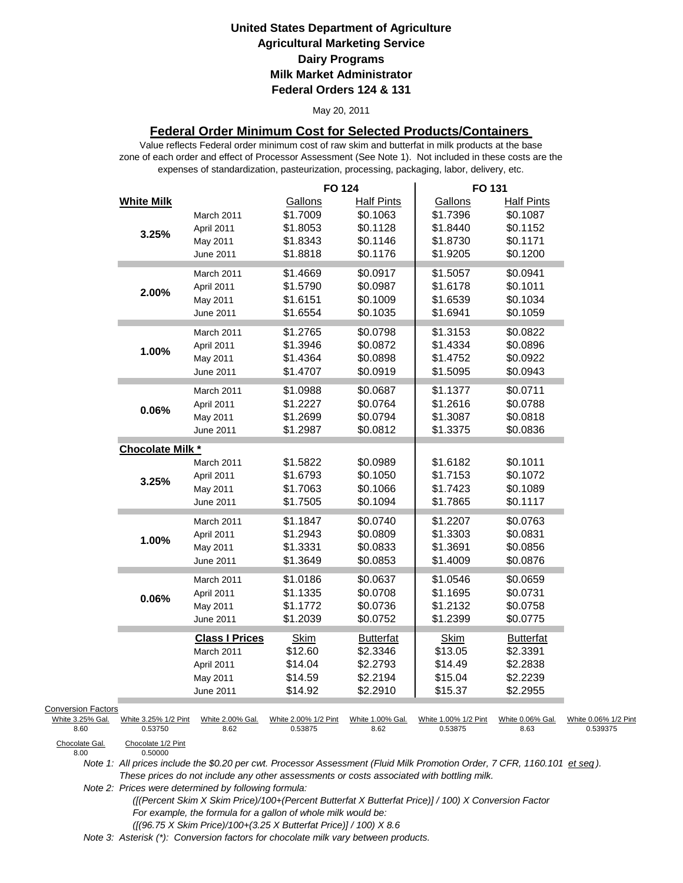#### May 20, 2011

### **Federal Order Minimum Cost for Selected Products/Containers**

zone of each order and effect of Processor Assessment (See Note 1). Not included in these costs are the expenses of standardization, pasteurization, processing, packaging, labor, delivery, etc. Value reflects Federal order minimum cost of raw skim and butterfat in milk products at the base

|                           |                               |                       | <b>FO 124</b>        |                   | FO 131               |                   |                      |
|---------------------------|-------------------------------|-----------------------|----------------------|-------------------|----------------------|-------------------|----------------------|
|                           | <b>White Milk</b>             |                       | Gallons              | <b>Half Pints</b> | Gallons              | <b>Half Pints</b> |                      |
|                           |                               | March 2011            | \$1.7009             | \$0.1063          | \$1.7396             | \$0.1087          |                      |
|                           | 3.25%                         | April 2011            | \$1.8053             | \$0.1128          | \$1.8440             | \$0.1152          |                      |
|                           |                               | May 2011              | \$1.8343             | \$0.1146          | \$1.8730             | \$0.1171          |                      |
|                           |                               | June 2011             | \$1.8818             | \$0.1176          | \$1.9205             | \$0.1200          |                      |
|                           |                               | March 2011            | \$1.4669             | \$0.0917          | \$1.5057             | \$0.0941          |                      |
|                           |                               | April 2011            | \$1.5790             | \$0.0987          | \$1.6178             | \$0.1011          |                      |
|                           | 2.00%                         | May 2011              | \$1.6151             | \$0.1009          | \$1.6539             | \$0.1034          |                      |
|                           |                               | June 2011             | \$1.6554             | \$0.1035          | \$1.6941             | \$0.1059          |                      |
|                           |                               | March 2011            | \$1.2765             | \$0.0798          | \$1.3153             | \$0.0822          |                      |
|                           |                               | April 2011            | \$1.3946             | \$0.0872          | \$1.4334             | \$0.0896          |                      |
|                           | 1.00%                         | May 2011              | \$1.4364             | \$0.0898          | \$1.4752             | \$0.0922          |                      |
|                           |                               | June 2011             | \$1.4707             | \$0.0919          | \$1.5095             | \$0.0943          |                      |
|                           |                               |                       |                      |                   |                      |                   |                      |
|                           |                               | March 2011            | \$1.0988             | \$0.0687          | \$1.1377             | \$0.0711          |                      |
|                           | 0.06%                         | April 2011            | \$1.2227             | \$0.0764          | \$1.2616             | \$0.0788          |                      |
|                           |                               | May 2011              | \$1.2699             | \$0.0794          | \$1.3087             | \$0.0818          |                      |
|                           |                               | June 2011             | \$1.2987             | \$0.0812          | \$1.3375             | \$0.0836          |                      |
|                           | Chocolate Milk *              |                       |                      |                   |                      |                   |                      |
|                           |                               | March 2011            | \$1.5822             | \$0.0989          | \$1.6182             | \$0.1011          |                      |
|                           | 3.25%                         | April 2011            | \$1.6793             | \$0.1050          | \$1.7153             | \$0.1072          |                      |
|                           |                               | May 2011              | \$1.7063             | \$0.1066          | \$1.7423             | \$0.1089          |                      |
|                           |                               | June 2011             | \$1.7505             | \$0.1094          | \$1.7865             | \$0.1117          |                      |
|                           |                               | March 2011            | \$1.1847             | \$0.0740          | \$1.2207             | \$0.0763          |                      |
|                           |                               | April 2011            | \$1.2943             | \$0.0809          | \$1.3303             | \$0.0831          |                      |
|                           | 1.00%                         | May 2011              | \$1.3331             | \$0.0833          | \$1.3691             | \$0.0856          |                      |
|                           |                               | June 2011             | \$1.3649             | \$0.0853          | \$1.4009             | \$0.0876          |                      |
|                           |                               | March 2011            | \$1.0186             | \$0.0637          | \$1.0546             | \$0.0659          |                      |
|                           | 0.06%                         | April 2011            | \$1.1335             | \$0.0708          | \$1.1695             | \$0.0731          |                      |
|                           |                               | May 2011              | \$1.1772             | \$0.0736          | \$1.2132             | \$0.0758          |                      |
|                           |                               | June 2011             | \$1.2039             | \$0.0752          | \$1.2399             | \$0.0775          |                      |
|                           |                               | <b>Class I Prices</b> | <b>Skim</b>          | <b>Butterfat</b>  | <b>Skim</b>          | <b>Butterfat</b>  |                      |
|                           |                               | March 2011            | \$12.60              | \$2.3346          | \$13.05              | \$2.3391          |                      |
|                           |                               | April 2011            | \$14.04              | \$2.2793          | \$14.49              | \$2.2838          |                      |
|                           |                               | May 2011              | \$14.59              | \$2.2194          | \$15.04              | \$2.2239          |                      |
|                           |                               | June 2011             | \$14.92              | \$2.2910          | \$15.37              | \$2.2955          |                      |
| <b>Conversion Factors</b> |                               |                       |                      |                   |                      |                   |                      |
| White 3.25% Gal.          | White 3.25% 1/2 Pint          | White 2.00% Gal.      | White 2.00% 1/2 Pint | White 1.00% Gal.  | White 1.00% 1/2 Pint | White 0.06% Gal.  | White 0.06% 1/2 Pint |
| 8.60                      | 0.53750                       | 8.62                  | 0.53875              | 8.62              | 0.53875              | 8.63              | 0.539375             |
| Chocolate Gal.<br>8.00    | Chocolate 1/2 Pint<br>0.50000 |                       |                      |                   |                      |                   |                      |

*Note 1: All prices include the \$0.20 per cwt. Processor Assessment (Fluid Milk Promotion Order, 7 CFR, 1160.101 et seq ). These prices do not include any other assessments or costs associated with bottling milk.*

*Note 2: Prices were determined by following formula:* 

 *([(Percent Skim X Skim Price)/100+(Percent Butterfat X Butterfat Price)] / 100) X Conversion Factor For example, the formula for a gallon of whole milk would be: ([(96.75 X Skim Price)/100+(3.25 X Butterfat Price)] / 100) X 8.6*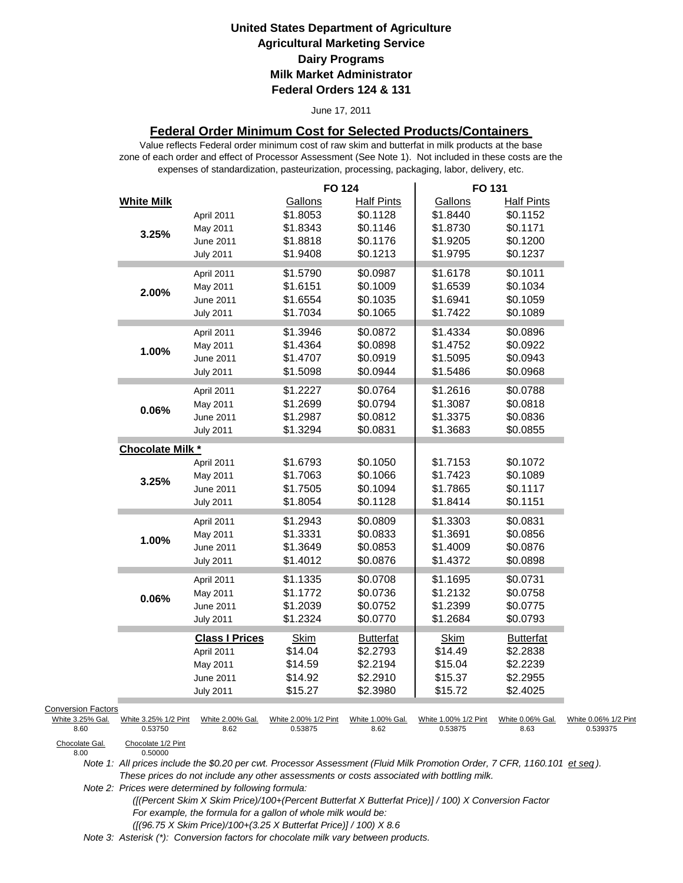#### June 17, 2011

### **Federal Order Minimum Cost for Selected Products/Containers**

zone of each order and effect of Processor Assessment (See Note 1). Not included in these costs are the expenses of standardization, pasteurization, processing, packaging, labor, delivery, etc. Value reflects Federal order minimum cost of raw skim and butterfat in milk products at the base

|                           |                                 |                          | <b>FO 124</b>                   |                          | FO 131                          |                          |                                  |
|---------------------------|---------------------------------|--------------------------|---------------------------------|--------------------------|---------------------------------|--------------------------|----------------------------------|
|                           | <b>White Milk</b>               |                          | Gallons                         | <b>Half Pints</b>        | Gallons                         | <b>Half Pints</b>        |                                  |
|                           |                                 | April 2011               | \$1.8053                        | \$0.1128                 | \$1.8440                        | \$0.1152                 |                                  |
|                           |                                 | May 2011                 | \$1.8343                        | \$0.1146                 | \$1.8730                        | \$0.1171                 |                                  |
|                           | 3.25%                           | June 2011                | \$1.8818                        | \$0.1176                 | \$1.9205                        | \$0.1200                 |                                  |
|                           |                                 | <b>July 2011</b>         | \$1.9408                        | \$0.1213                 | \$1.9795                        | \$0.1237                 |                                  |
|                           |                                 | April 2011               | \$1.5790                        | \$0.0987                 | \$1.6178                        | \$0.1011                 |                                  |
|                           |                                 | May 2011                 | \$1.6151                        | \$0.1009                 | \$1.6539                        | \$0.1034                 |                                  |
|                           | 2.00%                           | June 2011                | \$1.6554                        | \$0.1035                 | \$1.6941                        | \$0.1059                 |                                  |
|                           |                                 | <b>July 2011</b>         | \$1.7034                        | \$0.1065                 | \$1.7422                        | \$0.1089                 |                                  |
|                           |                                 |                          |                                 | \$0.0872                 | \$1.4334                        | \$0.0896                 |                                  |
|                           |                                 | April 2011               | \$1.3946                        | \$0.0898                 | \$1.4752                        | \$0.0922                 |                                  |
|                           | 1.00%                           | May 2011                 | \$1.4364                        |                          |                                 |                          |                                  |
|                           |                                 | June 2011                | \$1.4707                        | \$0.0919                 | \$1.5095                        | \$0.0943                 |                                  |
|                           |                                 | <b>July 2011</b>         | \$1.5098                        | \$0.0944                 | \$1.5486                        | \$0.0968                 |                                  |
|                           |                                 | April 2011               | \$1.2227                        | \$0.0764                 | \$1.2616                        | \$0.0788                 |                                  |
|                           | 0.06%                           | May 2011                 | \$1.2699                        | \$0.0794                 | \$1.3087                        | \$0.0818                 |                                  |
|                           |                                 | June 2011                | \$1.2987                        | \$0.0812                 | \$1.3375                        | \$0.0836                 |                                  |
|                           |                                 | <b>July 2011</b>         | \$1.3294                        | \$0.0831                 | \$1.3683                        | \$0.0855                 |                                  |
|                           | <b>Chocolate Milk *</b>         |                          |                                 |                          |                                 |                          |                                  |
|                           |                                 | April 2011               | \$1.6793                        | \$0.1050                 | \$1.7153                        | \$0.1072                 |                                  |
|                           | 3.25%                           | May 2011                 | \$1.7063                        | \$0.1066                 | \$1.7423                        | \$0.1089                 |                                  |
|                           |                                 | June 2011                | \$1.7505                        | \$0.1094                 | \$1.7865                        | \$0.1117                 |                                  |
|                           |                                 | <b>July 2011</b>         | \$1.8054                        | \$0.1128                 | \$1.8414                        | \$0.1151                 |                                  |
|                           |                                 | April 2011               | \$1.2943                        | \$0.0809                 | \$1.3303                        | \$0.0831                 |                                  |
|                           |                                 | May 2011                 | \$1.3331                        | \$0.0833                 | \$1.3691                        | \$0.0856                 |                                  |
|                           | 1.00%                           | June 2011                | \$1.3649                        | \$0.0853                 | \$1.4009                        | \$0.0876                 |                                  |
|                           |                                 | <b>July 2011</b>         | \$1.4012                        | \$0.0876                 | \$1.4372                        | \$0.0898                 |                                  |
|                           |                                 | April 2011               | \$1.1335                        | \$0.0708                 | \$1.1695                        | \$0.0731                 |                                  |
|                           |                                 | May 2011                 | \$1.1772                        | \$0.0736                 | \$1.2132                        | \$0.0758                 |                                  |
|                           | 0.06%                           | June 2011                | \$1.2039                        | \$0.0752                 | \$1.2399                        | \$0.0775                 |                                  |
|                           |                                 | <b>July 2011</b>         | \$1.2324                        | \$0.0770                 | \$1.2684                        | \$0.0793                 |                                  |
|                           |                                 | <b>Class I Prices</b>    | Skim                            | <b>Butterfat</b>         | Skim                            | <b>Butterfat</b>         |                                  |
|                           |                                 | April 2011               | \$14.04                         | \$2.2793                 | \$14.49                         | \$2.2838                 |                                  |
|                           |                                 | May 2011                 | \$14.59                         | \$2.2194                 | \$15.04                         | \$2.2239                 |                                  |
|                           |                                 | June 2011                | \$14.92                         | \$2.2910                 | \$15.37                         | \$2.2955                 |                                  |
|                           |                                 | <b>July 2011</b>         | \$15.27                         | \$2.3980                 | \$15.72                         | \$2.4025                 |                                  |
|                           |                                 |                          |                                 |                          |                                 |                          |                                  |
| <b>Conversion Factors</b> |                                 |                          |                                 |                          |                                 |                          |                                  |
| White 3.25% Gal.<br>8.60  | White 3.25% 1/2 Pint<br>0.53750 | White 2.00% Gal.<br>8.62 | White 2.00% 1/2 Pint<br>0.53875 | White 1.00% Gal.<br>8.62 | White 1.00% 1/2 Pint<br>0.53875 | White 0.06% Gal.<br>8.63 | White 0.06% 1/2 Pint<br>0.539375 |
| Chocolate Cal             | Chocolate 1/2 Dint              |                          |                                 |                          |                                 |                          |                                  |

Chocolate Gal.<br>8.00

0.50000

*Note 1: All prices include the \$0.20 per cwt. Processor Assessment (Fluid Milk Promotion Order, 7 CFR, 1160.101 et seq ). These prices do not include any other assessments or costs associated with bottling milk.*

*Note 2: Prices were determined by following formula:* 

 *([(Percent Skim X Skim Price)/100+(Percent Butterfat X Butterfat Price)] / 100) X Conversion Factor For example, the formula for a gallon of whole milk would be: ([(96.75 X Skim Price)/100+(3.25 X Butterfat Price)] / 100) X 8.6*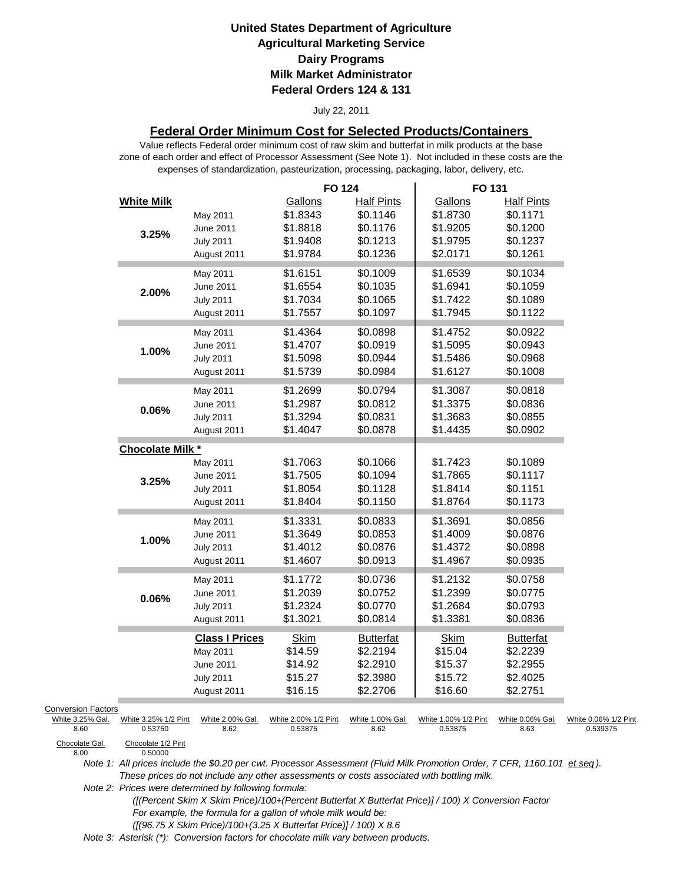#### July 22, 2011

### **Federal Order Minimum Cost for Selected Products/Containers**

zone of each order and effect of Processor Assessment (See Note 1). Not included in these costs are the expenses of standardization, pasteurization, processing, packaging, labor, delivery, etc. Value reflects Federal order minimum cost of raw skim and butterfat in milk products at the base

|                           |                                 |                          | <b>FO 124</b>                   |                              | FO 131                          |                              |                                  |
|---------------------------|---------------------------------|--------------------------|---------------------------------|------------------------------|---------------------------------|------------------------------|----------------------------------|
|                           | <b>White Milk</b>               |                          | Gallons                         | <b>Half Pints</b>            | Gallons                         | <b>Half Pints</b>            |                                  |
|                           |                                 | May 2011                 | \$1.8343                        | \$0.1146                     | \$1.8730                        | \$0.1171                     |                                  |
|                           |                                 | June 2011                | \$1.8818                        | \$0.1176                     | \$1.9205                        | \$0.1200                     |                                  |
|                           | 3.25%                           | <b>July 2011</b>         | \$1.9408                        | \$0.1213                     | \$1.9795                        | \$0.1237                     |                                  |
|                           |                                 | August 2011              | \$1.9784                        | \$0.1236                     | \$2.0171                        | \$0.1261                     |                                  |
|                           |                                 | May 2011                 | \$1.6151                        | \$0.1009                     | \$1.6539                        | \$0.1034                     |                                  |
|                           |                                 | June 2011                | \$1.6554                        | \$0.1035                     | \$1.6941                        | \$0.1059                     |                                  |
|                           | 2.00%                           | <b>July 2011</b>         | \$1.7034                        | \$0.1065                     | \$1.7422                        | \$0.1089                     |                                  |
|                           |                                 | August 2011              | \$1.7557                        | \$0.1097                     | \$1.7945                        | \$0.1122                     |                                  |
|                           |                                 |                          | \$1.4364                        | \$0.0898                     | \$1.4752                        | \$0.0922                     |                                  |
|                           |                                 | May 2011                 | \$1.4707                        | \$0.0919                     | \$1.5095                        | \$0.0943                     |                                  |
|                           | 1.00%                           | June 2011                | \$1.5098                        | \$0.0944                     |                                 | \$0.0968                     |                                  |
|                           |                                 | <b>July 2011</b>         |                                 |                              | \$1.5486                        | \$0.1008                     |                                  |
|                           |                                 | August 2011              | \$1.5739                        | \$0.0984                     | \$1.6127                        |                              |                                  |
|                           |                                 | May 2011                 | \$1.2699                        | \$0.0794                     | \$1.3087                        | \$0.0818                     |                                  |
|                           | 0.06%                           | June 2011                | \$1.2987                        | \$0.0812                     | \$1.3375                        | \$0.0836                     |                                  |
|                           |                                 | <b>July 2011</b>         | \$1.3294                        | \$0.0831                     | \$1.3683                        | \$0.0855                     |                                  |
|                           |                                 | August 2011              | \$1.4047                        | \$0.0878                     | \$1.4435                        | \$0.0902                     |                                  |
|                           | Chocolate Milk *                |                          |                                 |                              |                                 |                              |                                  |
|                           |                                 | May 2011                 | \$1.7063                        | \$0.1066                     | \$1.7423                        | \$0.1089                     |                                  |
|                           | 3.25%                           | June 2011                | \$1.7505                        | \$0.1094                     | \$1.7865                        | \$0.1117                     |                                  |
|                           |                                 | <b>July 2011</b>         | \$1.8054                        | \$0.1128                     | \$1.8414                        | \$0.1151                     |                                  |
|                           |                                 | August 2011              | \$1.8404                        | \$0.1150                     | \$1.8764                        | \$0.1173                     |                                  |
|                           |                                 | May 2011                 | \$1.3331                        | \$0.0833                     | \$1.3691                        | \$0.0856                     |                                  |
|                           |                                 | June 2011                | \$1.3649                        | \$0.0853                     | \$1.4009                        | \$0.0876                     |                                  |
|                           | 1.00%                           | <b>July 2011</b>         | \$1.4012                        | \$0.0876                     | \$1.4372                        | \$0.0898                     |                                  |
|                           |                                 | August 2011              | \$1.4607                        | \$0.0913                     | \$1.4967                        | \$0.0935                     |                                  |
|                           |                                 | May 2011                 | \$1.1772                        | \$0.0736                     | \$1.2132                        | \$0.0758                     |                                  |
|                           |                                 | <b>June 2011</b>         | \$1.2039                        | \$0.0752                     | \$1.2399                        | \$0.0775                     |                                  |
|                           | 0.06%                           | <b>July 2011</b>         | \$1.2324                        | \$0.0770                     | \$1.2684                        | \$0.0793                     |                                  |
|                           |                                 | August 2011              | \$1.3021                        | \$0.0814                     | \$1.3381                        | \$0.0836                     |                                  |
|                           |                                 | <b>Class I Prices</b>    | <b>Skim</b>                     |                              |                                 |                              |                                  |
|                           |                                 |                          | \$14.59                         | <b>Butterfat</b><br>\$2.2194 | <b>Skim</b><br>\$15.04          | <b>Butterfat</b><br>\$2.2239 |                                  |
|                           |                                 | May 2011                 | \$14.92                         | \$2.2910                     | \$15.37                         | \$2.2955                     |                                  |
|                           |                                 | June 2011                |                                 |                              | \$15.72                         |                              |                                  |
|                           |                                 | <b>July 2011</b>         | \$15.27                         | \$2.3980                     |                                 | \$2.4025                     |                                  |
|                           |                                 | August 2011              | \$16.15                         | \$2.2706                     | \$16.60                         | \$2.2751                     |                                  |
| <b>Conversion Factors</b> |                                 |                          |                                 |                              |                                 |                              |                                  |
| White 3.25% Gal.<br>8.60  | White 3.25% 1/2 Pint<br>0.53750 | White 2.00% Gal.<br>8.62 | White 2.00% 1/2 Pint<br>0.53875 | White 1.00% Gal.<br>8.62     | White 1.00% 1/2 Pint<br>0.53875 | White 0.06% Gal.<br>8.63     | White 0.06% 1/2 Pint<br>0.539375 |
| Chocolate Gal             | Chocolate 1/2 Pint              |                          |                                 |                              |                                 |                              |                                  |

Chocolate Gal.<br>8.00

0.50000

*Note 1: All prices include the \$0.20 per cwt. Processor Assessment (Fluid Milk Promotion Order, 7 CFR, 1160.101 et seq ). These prices do not include any other assessments or costs associated with bottling milk.*

*Note 2: Prices were determined by following formula:* 

 *([(Percent Skim X Skim Price)/100+(Percent Butterfat X Butterfat Price)] / 100) X Conversion Factor For example, the formula for a gallon of whole milk would be: ([(96.75 X Skim Price)/100+(3.25 X Butterfat Price)] / 100) X 8.6*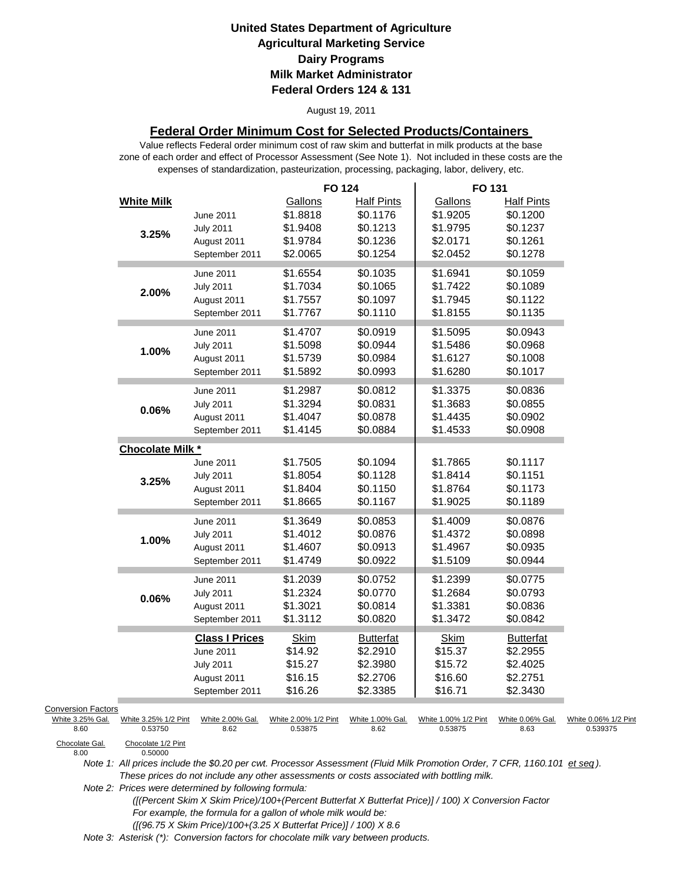#### August 19, 2011

### **Federal Order Minimum Cost for Selected Products/Containers**

zone of each order and effect of Processor Assessment (See Note 1). Not included in these costs are the expenses of standardization, pasteurization, processing, packaging, labor, delivery, etc. Value reflects Federal order minimum cost of raw skim and butterfat in milk products at the base

|                                                       |                                 |                                                                                         | <b>FO 124</b>                                           |                                                                   | FO 131                                                  |                                                                   |                                  |
|-------------------------------------------------------|---------------------------------|-----------------------------------------------------------------------------------------|---------------------------------------------------------|-------------------------------------------------------------------|---------------------------------------------------------|-------------------------------------------------------------------|----------------------------------|
|                                                       | <b>White Milk</b><br>3.25%      | June 2011<br><b>July 2011</b><br>August 2011<br>September 2011                          | Gallons<br>\$1.8818<br>\$1.9408<br>\$1.9784<br>\$2.0065 | <b>Half Pints</b><br>\$0.1176<br>\$0.1213<br>\$0.1236<br>\$0.1254 | Gallons<br>\$1.9205<br>\$1.9795<br>\$2.0171<br>\$2.0452 | <b>Half Pints</b><br>\$0.1200<br>\$0.1237<br>\$0.1261<br>\$0.1278 |                                  |
|                                                       | 2.00%                           | June 2011<br><b>July 2011</b><br>August 2011<br>September 2011                          | \$1.6554<br>\$1.7034<br>\$1.7557<br>\$1.7767            | \$0.1035<br>\$0.1065<br>\$0.1097<br>\$0.1110                      | \$1.6941<br>\$1.7422<br>\$1.7945<br>\$1.8155            | \$0.1059<br>\$0.1089<br>\$0.1122<br>\$0.1135                      |                                  |
|                                                       | 1.00%                           | June 2011<br><b>July 2011</b><br>August 2011<br>September 2011                          | \$1.4707<br>\$1.5098<br>\$1.5739<br>\$1.5892            | \$0.0919<br>\$0.0944<br>\$0.0984<br>\$0.0993                      | \$1.5095<br>\$1.5486<br>\$1.6127<br>\$1.6280            | \$0.0943<br>\$0.0968<br>\$0.1008<br>\$0.1017                      |                                  |
|                                                       | $0.06\%$                        | June 2011<br><b>July 2011</b><br>August 2011<br>September 2011                          | \$1.2987<br>\$1.3294<br>\$1.4047<br>\$1.4145            | \$0.0812<br>\$0.0831<br>\$0.0878<br>\$0.0884                      | \$1.3375<br>\$1.3683<br>\$1.4435<br>\$1.4533            | \$0.0836<br>\$0.0855<br>\$0.0902<br>\$0.0908                      |                                  |
|                                                       | Chocolate Milk *                |                                                                                         |                                                         |                                                                   |                                                         |                                                                   |                                  |
|                                                       | 3.25%                           | June 2011<br><b>July 2011</b><br>August 2011<br>September 2011                          | \$1.7505<br>\$1.8054<br>\$1.8404<br>\$1.8665            | \$0.1094<br>\$0.1128<br>\$0.1150<br>\$0.1167                      | \$1.7865<br>\$1.8414<br>\$1.8764<br>\$1.9025            | \$0.1117<br>\$0.1151<br>\$0.1173<br>\$0.1189                      |                                  |
|                                                       | 1.00%                           | June 2011<br><b>July 2011</b><br>August 2011<br>September 2011                          | \$1.3649<br>\$1.4012<br>\$1.4607<br>\$1.4749            | \$0.0853<br>\$0.0876<br>\$0.0913<br>\$0.0922                      | \$1.4009<br>\$1.4372<br>\$1.4967<br>\$1.5109            | \$0.0876<br>\$0.0898<br>\$0.0935<br>\$0.0944                      |                                  |
|                                                       | 0.06%                           | June 2011<br><b>July 2011</b><br>August 2011<br>September 2011                          | \$1.2039<br>\$1.2324<br>\$1.3021<br>\$1.3112            | \$0.0752<br>\$0.0770<br>\$0.0814<br>\$0.0820                      | \$1.2399<br>\$1.2684<br>\$1.3381<br>\$1.3472            | \$0.0775<br>\$0.0793<br>\$0.0836<br>\$0.0842                      |                                  |
|                                                       |                                 | <b>Class I Prices</b><br>June 2011<br><b>July 2011</b><br>August 2011<br>September 2011 | <b>Skim</b><br>\$14.92<br>\$15.27<br>\$16.15<br>\$16.26 | <b>Butterfat</b><br>\$2.2910<br>\$2.3980<br>\$2.2706<br>\$2.3385  | <b>Skim</b><br>\$15.37<br>\$15.72<br>\$16.60<br>\$16.71 | <b>Butterfat</b><br>\$2.2955<br>\$2.4025<br>\$2.2751<br>\$2.3430  |                                  |
| <b>Conversion Factors</b><br>White 3.25% Gal.<br>8.60 | White 3.25% 1/2 Pint<br>0.53750 | White 2.00% Gal.<br>8.62                                                                | White 2.00% 1/2 Pint<br>0.53875                         | White 1.00% Gal.<br>8.62                                          | White 1.00% 1/2 Pint<br>0.53875                         | White 0.06% Gal.<br>8.63                                          | White 0.06% 1/2 Pint<br>0.539375 |
| Chocolate Gal.<br>8.00                                | Chocolate 1/2 Pint<br>0.50000   |                                                                                         |                                                         |                                                                   |                                                         |                                                                   |                                  |

Chocolate Gal.<br>8.00

*Note 1: All prices include the \$0.20 per cwt. Processor Assessment (Fluid Milk Promotion Order, 7 CFR, 1160.101 et seq ). These prices do not include any other assessments or costs associated with bottling milk.*

*Note 2: Prices were determined by following formula:* 

 *([(Percent Skim X Skim Price)/100+(Percent Butterfat X Butterfat Price)] / 100) X Conversion Factor For example, the formula for a gallon of whole milk would be: ([(96.75 X Skim Price)/100+(3.25 X Butterfat Price)] / 100) X 8.6*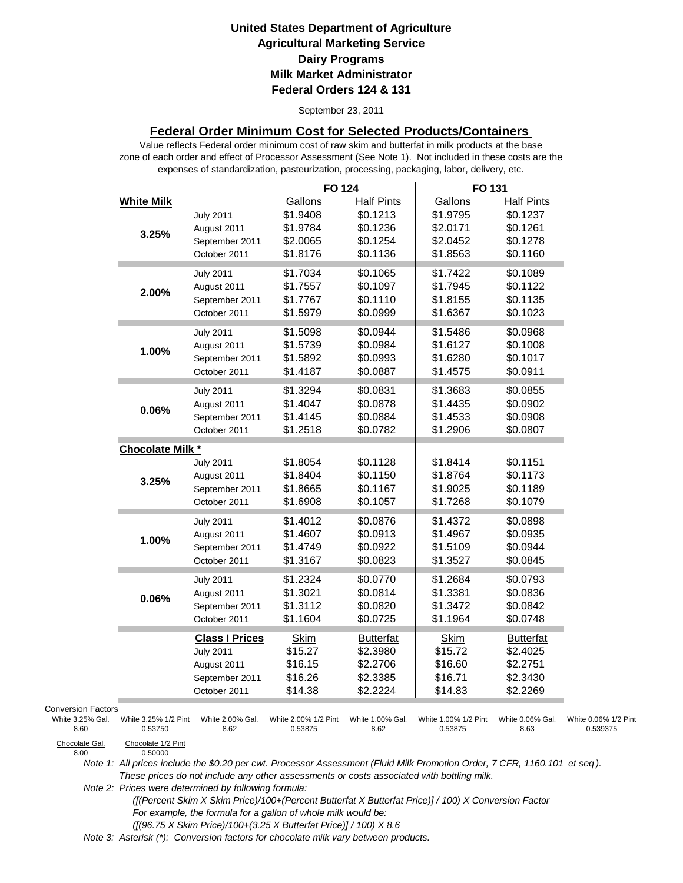September 23, 2011

### **Federal Order Minimum Cost for Selected Products/Containers**

zone of each order and effect of Processor Assessment (See Note 1). Not included in these costs are the expenses of standardization, pasteurization, processing, packaging, labor, delivery, etc. Value reflects Federal order minimum cost of raw skim and butterfat in milk products at the base

|                           |                                 |                          | <b>FO 124</b>                   |                               | FO 131                          |                               |                                  |
|---------------------------|---------------------------------|--------------------------|---------------------------------|-------------------------------|---------------------------------|-------------------------------|----------------------------------|
|                           | <b>White Milk</b>               | <b>July 2011</b>         | Gallons<br>\$1.9408             | <b>Half Pints</b><br>\$0.1213 | Gallons<br>\$1.9795             | <b>Half Pints</b><br>\$0.1237 |                                  |
|                           |                                 | August 2011              | \$1.9784                        | \$0.1236                      | \$2.0171                        | \$0.1261                      |                                  |
|                           | 3.25%                           | September 2011           | \$2.0065                        | \$0.1254                      | \$2.0452                        | \$0.1278                      |                                  |
|                           |                                 | October 2011             | \$1.8176                        | \$0.1136                      | \$1.8563                        | \$0.1160                      |                                  |
|                           |                                 | <b>July 2011</b>         | \$1.7034                        | \$0.1065                      | \$1.7422                        | \$0.1089                      |                                  |
|                           | 2.00%                           | August 2011              | \$1.7557                        | \$0.1097                      | \$1.7945                        | \$0.1122                      |                                  |
|                           |                                 | September 2011           | \$1.7767                        | \$0.1110                      | \$1.8155                        | \$0.1135                      |                                  |
|                           |                                 | October 2011             | \$1.5979                        | \$0.0999                      | \$1.6367                        | \$0.1023                      |                                  |
|                           |                                 | <b>July 2011</b>         | \$1.5098                        | \$0.0944                      | \$1.5486                        | \$0.0968                      |                                  |
|                           | 1.00%                           | August 2011              | \$1.5739                        | \$0.0984                      | \$1.6127                        | \$0.1008                      |                                  |
|                           |                                 | September 2011           | \$1.5892                        | \$0.0993                      | \$1.6280                        | \$0.1017                      |                                  |
|                           |                                 | October 2011             | \$1.4187                        | \$0.0887                      | \$1.4575                        | \$0.0911                      |                                  |
|                           |                                 | <b>July 2011</b>         | \$1.3294                        | \$0.0831                      | \$1.3683                        | \$0.0855                      |                                  |
|                           | 0.06%                           | August 2011              | \$1.4047                        | \$0.0878                      | \$1.4435                        | \$0.0902                      |                                  |
|                           |                                 | September 2011           | \$1.4145                        | \$0.0884                      | \$1.4533                        | \$0.0908                      |                                  |
|                           |                                 | October 2011             | \$1.2518                        | \$0.0782                      | \$1.2906                        | \$0.0807                      |                                  |
|                           | Chocolate Milk *                |                          |                                 |                               |                                 |                               |                                  |
|                           |                                 | <b>July 2011</b>         | \$1.8054                        | \$0.1128                      | \$1.8414                        | \$0.1151                      |                                  |
|                           | 3.25%                           | August 2011              | \$1.8404                        | \$0.1150                      | \$1.8764                        | \$0.1173                      |                                  |
|                           |                                 | September 2011           | \$1.8665                        | \$0.1167                      | \$1.9025                        | \$0.1189                      |                                  |
|                           |                                 | October 2011             | \$1.6908                        | \$0.1057                      | \$1.7268                        | \$0.1079                      |                                  |
|                           |                                 | <b>July 2011</b>         | \$1.4012                        | \$0.0876                      | \$1.4372                        | \$0.0898                      |                                  |
|                           | 1.00%                           | August 2011              | \$1.4607                        | \$0.0913                      | \$1.4967                        | \$0.0935                      |                                  |
|                           |                                 | September 2011           | \$1.4749                        | \$0.0922                      | \$1.5109                        | \$0.0944                      |                                  |
|                           |                                 | October 2011             | \$1.3167                        | \$0.0823                      | \$1.3527                        | \$0.0845                      |                                  |
|                           |                                 | <b>July 2011</b>         | \$1.2324                        | \$0.0770                      | \$1.2684                        | \$0.0793                      |                                  |
|                           | 0.06%                           | August 2011              | \$1.3021                        | \$0.0814                      | \$1.3381                        | \$0.0836                      |                                  |
|                           |                                 | September 2011           | \$1.3112                        | \$0.0820                      | \$1.3472                        | \$0.0842                      |                                  |
|                           |                                 | October 2011             | \$1.1604                        | \$0.0725                      | \$1.1964                        | \$0.0748                      |                                  |
|                           |                                 | <b>Class I Prices</b>    | <b>Skim</b>                     | <b>Butterfat</b>              | Skim                            | <b>Butterfat</b>              |                                  |
|                           |                                 | <b>July 2011</b>         | \$15.27                         | \$2.3980                      | \$15.72                         | \$2.4025                      |                                  |
|                           |                                 | August 2011              | \$16.15                         | \$2.2706                      | \$16.60                         | \$2.2751                      |                                  |
|                           |                                 | September 2011           | \$16.26                         | \$2.3385                      | \$16.71                         | \$2.3430                      |                                  |
|                           |                                 | October 2011             | \$14.38                         | \$2.2224                      | \$14.83                         | \$2.2269                      |                                  |
| <b>Conversion Factors</b> |                                 |                          |                                 |                               |                                 |                               |                                  |
| White 3.25% Gal.<br>8.60  | White 3.25% 1/2 Pint<br>0.53750 | White 2.00% Gal.<br>8.62 | White 2.00% 1/2 Pint<br>0.53875 | White 1.00% Gal.<br>8.62      | White 1.00% 1/2 Pint<br>0.53875 | White 0.06% Gal.<br>8.63      | White 0.06% 1/2 Pint<br>0.539375 |
| Chocolate Gal.<br>8.00    | Chocolate 1/2 Pint<br>0.50000   |                          |                                 |                               |                                 |                               |                                  |

Chocolate Gal.<br>8.00

*Note 1: All prices include the \$0.20 per cwt. Processor Assessment (Fluid Milk Promotion Order, 7 CFR, 1160.101 et seq ). These prices do not include any other assessments or costs associated with bottling milk.*

*Note 2: Prices were determined by following formula:* 

 *([(Percent Skim X Skim Price)/100+(Percent Butterfat X Butterfat Price)] / 100) X Conversion Factor For example, the formula for a gallon of whole milk would be: ([(96.75 X Skim Price)/100+(3.25 X Butterfat Price)] / 100) X 8.6*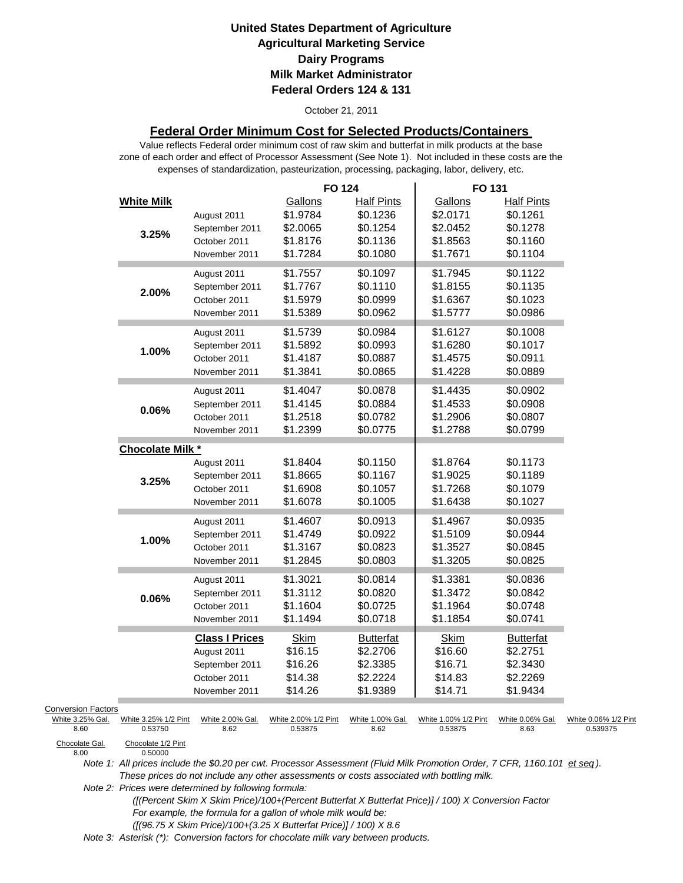#### October 21, 2011

### **Federal Order Minimum Cost for Selected Products/Containers**

zone of each order and effect of Processor Assessment (See Note 1). Not included in these costs are the expenses of standardization, pasteurization, processing, packaging, labor, delivery, etc. Value reflects Federal order minimum cost of raw skim and butterfat in milk products at the base

|                                                                         |                                                       |                                                                                         | <b>FO 124</b>                                           |                                                                   | FO 131                                                  |                                                                   |                                  |
|-------------------------------------------------------------------------|-------------------------------------------------------|-----------------------------------------------------------------------------------------|---------------------------------------------------------|-------------------------------------------------------------------|---------------------------------------------------------|-------------------------------------------------------------------|----------------------------------|
|                                                                         | <b>White Milk</b><br>3.25%                            | August 2011<br>September 2011<br>October 2011<br>November 2011                          | Gallons<br>\$1.9784<br>\$2.0065<br>\$1.8176<br>\$1.7284 | <b>Half Pints</b><br>\$0.1236<br>\$0.1254<br>\$0.1136<br>\$0.1080 | Gallons<br>\$2.0171<br>\$2.0452<br>\$1.8563<br>\$1.7671 | <b>Half Pints</b><br>\$0.1261<br>\$0.1278<br>\$0.1160<br>\$0.1104 |                                  |
|                                                                         | 2.00%                                                 | August 2011<br>September 2011<br>October 2011<br>November 2011                          | \$1.7557<br>\$1.7767<br>\$1.5979<br>\$1.5389            | \$0.1097<br>\$0.1110<br>\$0.0999<br>\$0.0962                      | \$1.7945<br>\$1.8155<br>\$1.6367<br>\$1.5777            | \$0.1122<br>\$0.1135<br>\$0.1023<br>\$0.0986                      |                                  |
|                                                                         | 1.00%                                                 | August 2011<br>September 2011<br>October 2011<br>November 2011                          | \$1.5739<br>\$1.5892<br>\$1.4187<br>\$1.3841            | \$0.0984<br>\$0.0993<br>\$0.0887<br>\$0.0865                      | \$1.6127<br>\$1.6280<br>\$1.4575<br>\$1.4228            | \$0.1008<br>\$0.1017<br>\$0.0911<br>\$0.0889                      |                                  |
|                                                                         | $0.06\%$                                              | August 2011<br>September 2011<br>October 2011<br>November 2011                          | \$1.4047<br>\$1.4145<br>\$1.2518<br>\$1.2399            | \$0.0878<br>\$0.0884<br>\$0.0782<br>\$0.0775                      | \$1.4435<br>\$1.4533<br>\$1.2906<br>\$1.2788            | \$0.0902<br>\$0.0908<br>\$0.0807<br>\$0.0799                      |                                  |
|                                                                         | Chocolate Milk *                                      |                                                                                         |                                                         |                                                                   |                                                         |                                                                   |                                  |
|                                                                         | 3.25%                                                 | August 2011<br>September 2011<br>October 2011<br>November 2011                          | \$1.8404<br>\$1.8665<br>\$1.6908<br>\$1.6078            | \$0.1150<br>\$0.1167<br>\$0.1057<br>\$0.1005                      | \$1.8764<br>\$1.9025<br>\$1.7268<br>\$1.6438            | \$0.1173<br>\$0.1189<br>\$0.1079<br>\$0.1027                      |                                  |
|                                                                         | 1.00%                                                 | August 2011<br>September 2011<br>October 2011<br>November 2011                          | \$1.4607<br>\$1.4749<br>\$1.3167<br>\$1.2845            | \$0.0913<br>\$0.0922<br>\$0.0823<br>\$0.0803                      | \$1.4967<br>\$1.5109<br>\$1.3527<br>\$1.3205            | \$0.0935<br>\$0.0944<br>\$0.0845<br>\$0.0825                      |                                  |
|                                                                         | 0.06%                                                 | August 2011<br>September 2011<br>October 2011<br>November 2011                          | \$1.3021<br>\$1.3112<br>\$1.1604<br>\$1.1494            | \$0.0814<br>\$0.0820<br>\$0.0725<br>\$0.0718                      | \$1.3381<br>\$1.3472<br>\$1.1964<br>\$1.1854            | \$0.0836<br>\$0.0842<br>\$0.0748<br>\$0.0741                      |                                  |
|                                                                         |                                                       | <b>Class I Prices</b><br>August 2011<br>September 2011<br>October 2011<br>November 2011 | <b>Skim</b><br>\$16.15<br>\$16.26<br>\$14.38<br>\$14.26 | <b>Butterfat</b><br>\$2.2706<br>\$2.3385<br>\$2.2224<br>\$1.9389  | Skim<br>\$16.60<br>\$16.71<br>\$14.83<br>\$14.71        | <b>Butterfat</b><br>\$2.2751<br>\$2.3430<br>\$2.2269<br>\$1.9434  |                                  |
| <b>Conversion Factors</b><br>White 3.25% Gal.<br>8.60<br>Chocolate Gal. | White 3.25% 1/2 Pint<br>0.53750<br>Chocolate 1/2 Pint | White 2.00% Gal.<br>8.62                                                                | White 2.00% 1/2 Pint<br>0.53875                         | White 1.00% Gal.<br>8.62                                          | White 1.00% 1/2 Pint<br>0.53875                         | White 0.06% Gal.<br>8.63                                          | White 0.06% 1/2 Pint<br>0.539375 |
| 8.00                                                                    | 0.50000                                               |                                                                                         |                                                         |                                                                   |                                                         |                                                                   |                                  |

*Note 1: All prices include the \$0.20 per cwt. Processor Assessment (Fluid Milk Promotion Order, 7 CFR, 1160.101 et seq ). These prices do not include any other assessments or costs associated with bottling milk.*

*Note 2: Prices were determined by following formula:* 

 *([(Percent Skim X Skim Price)/100+(Percent Butterfat X Butterfat Price)] / 100) X Conversion Factor For example, the formula for a gallon of whole milk would be: ([(96.75 X Skim Price)/100+(3.25 X Butterfat Price)] / 100) X 8.6*